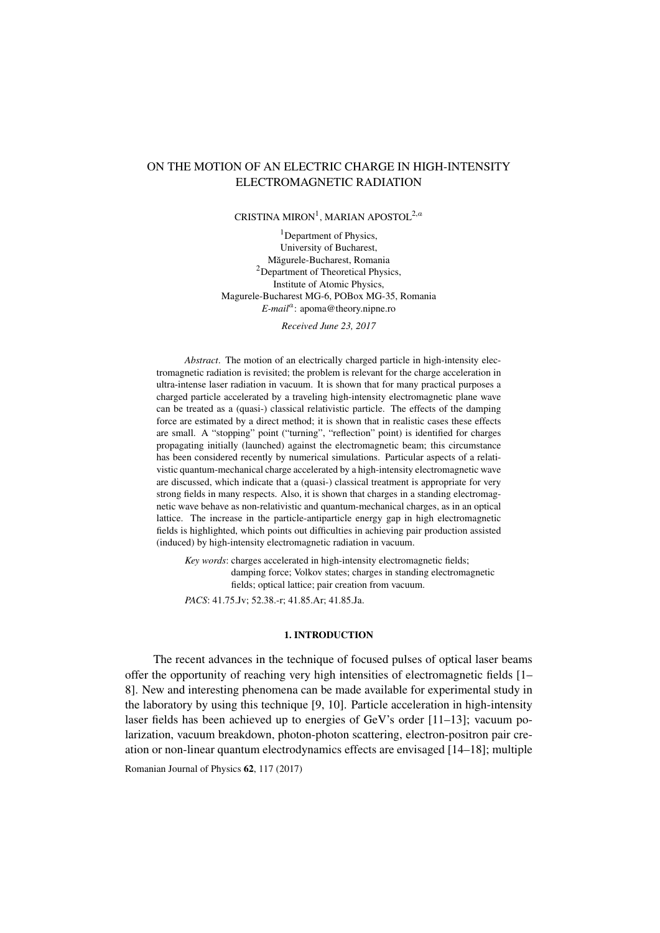# ON THE MOTION OF AN ELECTRIC CHARGE IN HIGH-INTENSITY ELECTROMAGNETIC RADIATION

# CRISTINA MIRON<sup>1</sup>, MARIAN APOSTOL<sup>2,a</sup>

<sup>1</sup>Department of Physics, University of Bucharest, Măgurele-Bucharest, Romania <sup>2</sup>Department of Theoretical Physics, Institute of Atomic Physics, Magurele-Bucharest MG-6, POBox MG-35, Romania E-mail<sup>a</sup>: apoma@theory.nipne.ro

*Received June 23, 2017*

*Abstract*. The motion of an electrically charged particle in high-intensity electromagnetic radiation is revisited; the problem is relevant for the charge acceleration in ultra-intense laser radiation in vacuum. It is shown that for many practical purposes a charged particle accelerated by a traveling high-intensity electromagnetic plane wave can be treated as a (quasi-) classical relativistic particle. The effects of the damping force are estimated by a direct method; it is shown that in realistic cases these effects are small. A "stopping" point ("turning", "reflection" point) is identified for charges propagating initially (launched) against the electromagnetic beam; this circumstance has been considered recently by numerical simulations. Particular aspects of a relativistic quantum-mechanical charge accelerated by a high-intensity electromagnetic wave are discussed, which indicate that a (quasi-) classical treatment is appropriate for very strong fields in many respects. Also, it is shown that charges in a standing electromagnetic wave behave as non-relativistic and quantum-mechanical charges, as in an optical lattice. The increase in the particle-antiparticle energy gap in high electromagnetic fields is highlighted, which points out difficulties in achieving pair production assisted (induced) by high-intensity electromagnetic radiation in vacuum.

*Key words*: charges accelerated in high-intensity electromagnetic fields; damping force; Volkov states; charges in standing electromagnetic fields; optical lattice; pair creation from vacuum.

*PACS*: 41.75.Jv; 52.38.-r; 41.85.Ar; 41.85.Ja.

# 1. INTRODUCTION

The recent advances in the technique of focused pulses of optical laser beams offer the opportunity of reaching very high intensities of electromagnetic fields [\[1–](#page-11-0) [8\]](#page-11-1). New and interesting phenomena can be made available for experimental study in the laboratory by using this technique [\[9,](#page-11-2) [10\]](#page-11-3). Particle acceleration in high-intensity laser fields has been achieved up to energies of GeV's order [\[11](#page-11-4)[–13\]](#page-11-5); vacuum polarization, vacuum breakdown, photon-photon scattering, electron-positron pair creation or non-linear quantum electrodynamics effects are envisaged [\[14](#page-11-6)[–18\]](#page-12-0); multiple

Romanian Journal of Physics  $62$ , 117 (2017).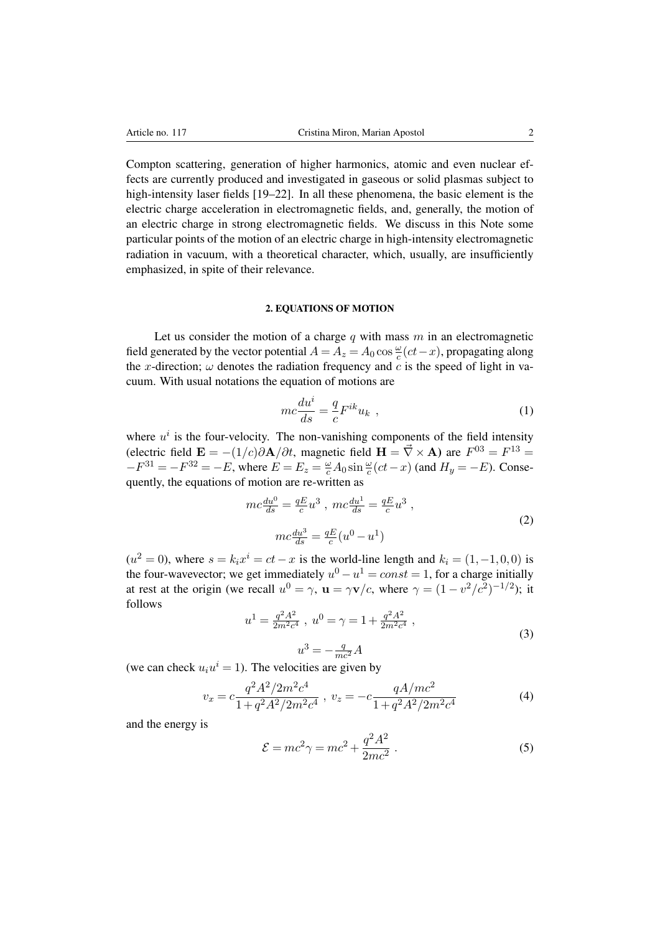Compton scattering, generation of higher harmonics, atomic and even nuclear effects are currently produced and investigated in gaseous or solid plasmas subject to high-intensity laser fields [\[19–](#page-12-1)[22\]](#page-12-2). In all these phenomena, the basic element is the electric charge acceleration in electromagnetic fields, and, generally, the motion of an electric charge in strong electromagnetic fields. We discuss in this Note some particular points of the motion of an electric charge in high-intensity electromagnetic radiation in vacuum, with a theoretical character, which, usually, are insufficiently emphasized, in spite of their relevance.

# 2. EQUATIONS OF MOTION

Let us consider the motion of a charge  $q$  with mass  $m$  in an electromagnetic field generated by the vector potential  $A = A_z = A_0 \cos \frac{\omega}{c} (ct - x)$ , propagating along the x-direction;  $\omega$  denotes the radiation frequency and c is the speed of light in vacuum. With usual notations the equation of motions are

<span id="page-1-2"></span>
$$
mc\frac{du^{i}}{ds} = \frac{q}{c}F^{ik}u_{k} \t{,} \t(1)
$$

where  $u^i$  is the four-velocity. The non-vanishing components of the field intensity (electric field  $\mathbf{E} = -(1/c)\partial \mathbf{A}/\partial t$ , magnetic field  $\mathbf{H} = \vec{\nabla} \times \mathbf{A}$ ) are  $F^{03} = F^{13}$  $-F^{31} = -F^{32} = -E$ , where  $E = E_z = \frac{\omega}{c} A_0 \sin \frac{\omega}{c} (ct - x)$  (and  $H_y = -E$ ). Consequently, the equations of motion are re-written as

$$
mc\frac{du^{0}}{ds} = \frac{qE}{c}u^{3}, mc\frac{du^{1}}{ds} = \frac{qE}{c}u^{3},
$$
  

$$
mc\frac{du^{3}}{ds} = \frac{qE}{c}(u^{0} - u^{1})
$$
 (2)

<span id="page-1-0"></span> $(u^2 = 0)$ , where  $s = k_i x^i = ct - x$  is the world-line length and  $k_i = (1, -1, 0, 0)$  is the four-wavevector; we get immediately  $u^0 - u^1 = const = 1$ , for a charge initially at rest at the origin (we recall  $u^0 = \gamma$ ,  $\mathbf{u} = \gamma \mathbf{v}/c$ , where  $\gamma = (1 - v^2/c^2)^{-1/2}$ ); it follows

$$
u^{1} = \frac{q^{2}A^{2}}{2m^{2}c^{4}}, \ u^{0} = \gamma = 1 + \frac{q^{2}A^{2}}{2m^{2}c^{4}}, \tag{3}
$$

$$
u^3 = -\frac{q}{mc^2}A
$$

(we can check  $u_i u^i = 1$ ). The velocities are given by

<span id="page-1-1"></span>
$$
v_x = c \frac{q^2 A^2 / 2m^2 c^4}{1 + q^2 A^2 / 2m^2 c^4} , \ v_z = -c \frac{q A / mc^2}{1 + q^2 A^2 / 2m^2 c^4}
$$
 (4)

and the energy is

$$
\mathcal{E} = mc^2 \gamma = mc^2 + \frac{q^2 A^2}{2mc^2} \,. \tag{5}
$$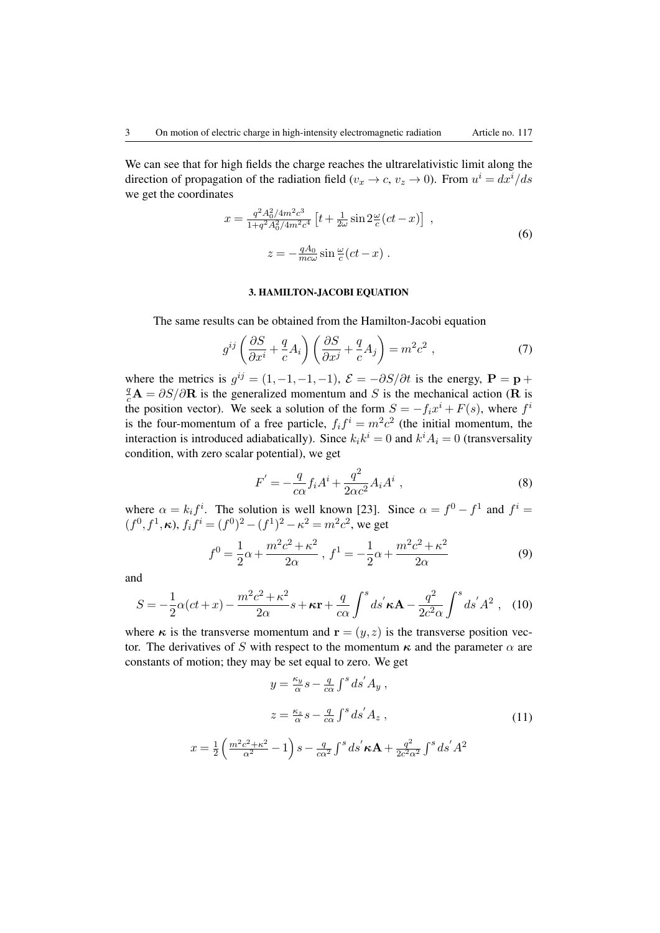We can see that for high fields the charge reaches the ultrarelativistic limit along the direction of propagation of the radiation field ( $v_x \to c$ ,  $v_z \to 0$ ). From  $u^i = dx^i/ds$ we get the coordinates

<span id="page-2-0"></span>
$$
x = \frac{q^2 A_0^2 / 4m^2 c^3}{1 + q^2 A_0^2 / 4m^2 c^4} \left[ t + \frac{1}{2\omega} \sin 2\frac{\omega}{c} (ct - x) \right] ,
$$
  

$$
z = -\frac{qA_0}{mc\omega} \sin \frac{\omega}{c} (ct - x) .
$$
 (6)

# 3. HAMILTON-JACOBI EQUATION

The same results can be obtained from the Hamilton-Jacobi equation

$$
g^{ij}\left(\frac{\partial S}{\partial x^i} + \frac{q}{c}A_i\right)\left(\frac{\partial S}{\partial x^j} + \frac{q}{c}A_j\right) = m^2c^2,
$$
\n(7)

where the metrics is  $g^{ij} = (1, -1, -1, -1)$ ,  $\mathcal{E} = -\partial S/\partial t$  is the energy,  $\mathbf{P} = \mathbf{p} + \partial S/\partial t$  $\frac{q}{c}$ **A** =  $\partial S/\partial \mathbf{R}$  is the generalized momentum and S is the mechanical action (**R** is the position vector). We seek a solution of the form  $S = -f_i x^i + F(s)$ , where  $f^i$ is the four-momentum of a free particle,  $f_i f^i = m^2 c^2$  (the initial momentum, the interaction is introduced adiabatically). Since  $k_i k^i = 0$  and  $k^i A_i = 0$  (transversality condition, with zero scalar potential), we get

$$
F' = -\frac{q}{c\alpha} f_i A^i + \frac{q^2}{2\alpha c^2} A_i A^i \tag{8}
$$

where  $\alpha = k_i f^i$ . The solution is well known [\[23\]](#page-12-3). Since  $\alpha = f^0 - f^1$  and  $f^i =$  $(f^0, f^1, \kappa)$ ,  $f_i f^i = (f^0)^2 - (f^1)^2 - \kappa^2 = m^2 c^2$ , we get

$$
f^{0} = \frac{1}{2}\alpha + \frac{m^{2}c^{2} + \kappa^{2}}{2\alpha}, \ f^{1} = -\frac{1}{2}\alpha + \frac{m^{2}c^{2} + \kappa^{2}}{2\alpha}
$$
(9)

<span id="page-2-2"></span>and

 $\overline{x}$ 

$$
S = -\frac{1}{2}\alpha(ct+x) - \frac{m^2c^2 + \kappa^2}{2\alpha}s + \kappa \mathbf{r} + \frac{q}{c\alpha} \int^s ds' \kappa \mathbf{A} - \frac{q^2}{2c^2\alpha} \int^s ds' A^2 , \quad (10)
$$

where  $\kappa$  is the transverse momentum and  $\mathbf{r} = (y, z)$  is the transverse position vector. The derivatives of S with respect to the momentum  $\kappa$  and the parameter  $\alpha$  are constants of motion; they may be set equal to zero. We get

<span id="page-2-1"></span>
$$
y = \frac{\kappa_y}{\alpha} s - \frac{q}{c\alpha} \int^s ds' A_y ,
$$
  

$$
z = \frac{\kappa_z}{\alpha} s - \frac{q}{c\alpha} \int^s ds' A_z ,
$$
  

$$
= \frac{1}{2} \left( \frac{m^2 c^2 + \kappa^2}{\alpha^2} - 1 \right) s - \frac{q}{c\alpha^2} \int^s ds' \kappa \mathbf{A} + \frac{q^2}{2c^2 \alpha^2} \int^s ds' A^2
$$
 (11)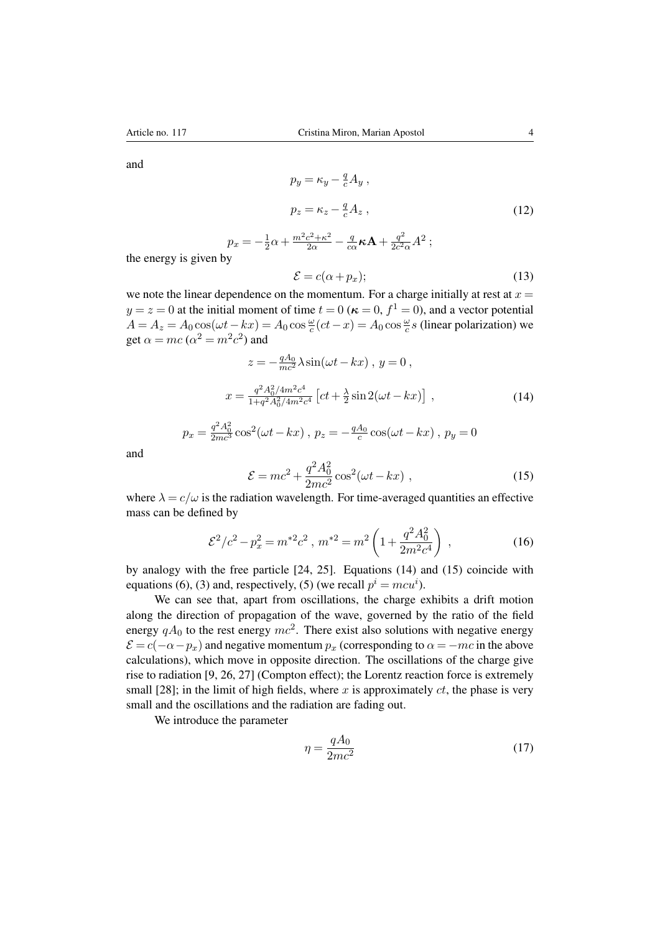and

$$
p_y = \kappa_y - \frac{q}{c} A_y ,
$$
  

$$
p_z = \kappa_z - \frac{q}{c} A_z ,
$$
 (12)

<span id="page-3-2"></span>
$$
p_x = -\frac{1}{2}\alpha + \frac{m^2c^2 + \kappa^2}{2\alpha} - \frac{q}{c\alpha}\kappa \mathbf{A} + \frac{q^2}{2c^2\alpha}A^2 ;
$$
  
y

the energy is given by

<span id="page-3-0"></span>
$$
\mathcal{E} = c(\alpha + p_x); \tag{13}
$$

we note the linear dependence on the momentum. For a charge initially at rest at  $x =$  $y = z = 0$  at the initial moment of time  $t = 0$  ( $\kappa = 0$ ,  $f^1 = 0$ ), and a vector potential  $A = A_z = A_0 \cos(\omega t - kx) = A_0 \cos \frac{\omega}{c} (ct - x) = A_0 \cos \frac{\omega}{c} s$  (linear polarization) we get  $\alpha = mc$  ( $\alpha^2 = m^2c^2$ ) and

$$
z = -\frac{qA_0}{mc^2} \lambda \sin(\omega t - kx), y = 0,
$$
  

$$
x = \frac{q^2 A_0^2 / 4m^2 c^4}{1 + q^2 A_0^2 / 4m^2 c^4} \left[ ct + \frac{\lambda}{2} \sin 2(\omega t - kx) \right],
$$
 (14)

$$
p_x = \frac{q^2 A_0^2}{2mc^3} \cos^2(\omega t - kx), \ p_z = -\frac{qA_0}{c} \cos(\omega t - kx), \ p_y = 0
$$

<span id="page-3-1"></span>and

$$
\mathcal{E} = mc^2 + \frac{q^2 A_0^2}{2mc^2} \cos^2(\omega t - kx) , \qquad (15)
$$

where  $\lambda = c/\omega$  is the radiation wavelength. For time-averaged quantities an effective mass can be defined by

$$
\mathcal{E}^2/c^2 - p_x^2 = m^{*2}c^2 \ , \ m^{*2} = m^2 \left(1 + \frac{q^2 A_0^2}{2m^2 c^4}\right) \ , \tag{16}
$$

by analogy with the free particle [\[24,](#page-12-4) [25\]](#page-12-5). Equations [\(14\)](#page-3-0) and [\(15\)](#page-3-1) coincide with equations [\(6\)](#page-2-0), [\(3\)](#page-1-0) and, respectively, [\(5\)](#page-1-1) (we recall  $p^i = mcu^i$ ).

We can see that, apart from oscillations, the charge exhibits a drift motion along the direction of propagation of the wave, governed by the ratio of the field energy  $qA_0$  to the rest energy  $mc^2$ . There exist also solutions with negative energy  $\mathcal{E} = c(-\alpha - p_x)$  and negative momentum  $p_x$  (corresponding to  $\alpha = -mc$  in the above calculations), which move in opposite direction. The oscillations of the charge give rise to radiation [\[9,](#page-11-2) [26,](#page-12-6) [27\]](#page-12-7) (Compton effect); the Lorentz reaction force is extremely small [\[28\]](#page-12-8); in the limit of high fields, where x is approximately  $ct$ , the phase is very small and the oscillations and the radiation are fading out.

We introduce the parameter

$$
\eta = \frac{qA_0}{2mc^2} \tag{17}
$$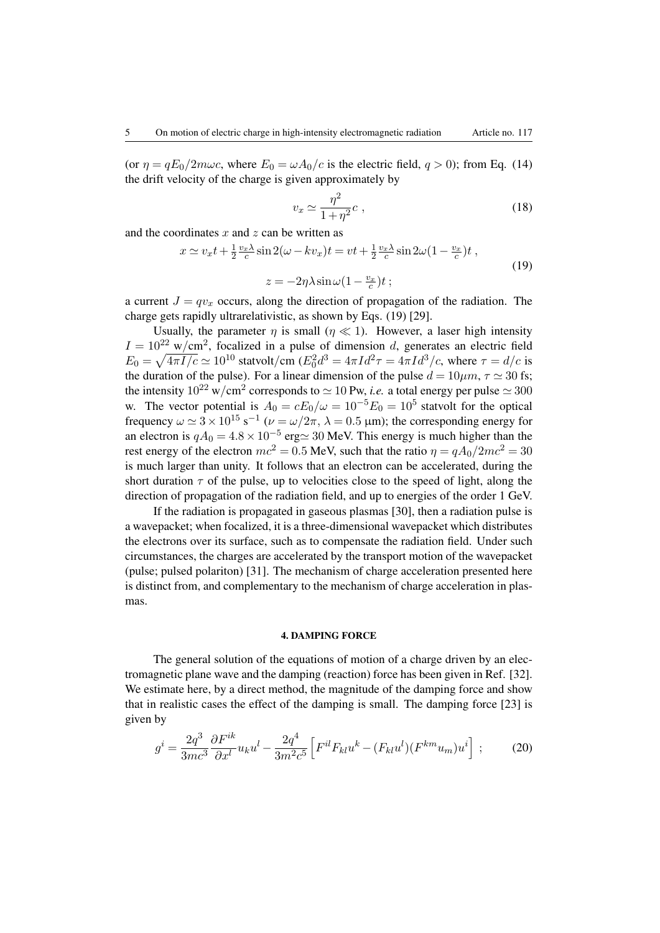(or  $\eta = qE_0/2m\omega c$ , where  $E_0 = \omega A_0/c$  is the electric field,  $q > 0$ ); from Eq. [\(14\)](#page-3-0) the drift velocity of the charge is given approximately by

<span id="page-4-0"></span>
$$
v_x \simeq \frac{\eta^2}{1 + \eta^2} c \;, \tag{18}
$$

and the coordinates  $x$  and  $z$  can be written as

$$
x \simeq v_x t + \frac{1}{2} \frac{v_x \lambda}{c} \sin 2(\omega - k v_x) t = vt + \frac{1}{2} \frac{v_x \lambda}{c} \sin 2\omega (1 - \frac{v_x}{c}) t ,
$$
  

$$
z = -2\eta \lambda \sin \omega (1 - \frac{v_x}{c}) t ;
$$
 (19)

a current  $J = qv_x$  occurs, along the direction of propagation of the radiation. The charge gets rapidly ultrarelativistic, as shown by Eqs. [\(19\)](#page-4-0) [\[29\]](#page-12-9).

Usually, the parameter  $\eta$  is small ( $\eta \ll 1$ ). However, a laser high intensity  $I = 10^{22}$  w/cm<sup>2</sup>, focalized in a pulse of dimension d, generates an electric field  $E_0 = \sqrt{4\pi I/c} \simeq 10^{10}$  statvolt/cm  $(E_0^2 d^3 = 4\pi I d^2 \tau = 4\pi I d^3/c$ , where  $\tau = d/c$  is the duration of the pulse). For a linear dimension of the pulse  $d = 10 \mu m$ ,  $\tau \approx 30$  fs; the intensity  $10^{22}$  w/cm<sup>2</sup> corresponds to  $\simeq 10$  Pw, *i.e.* a total energy per pulse  $\simeq 300$ w. The vector potential is  $A_0 = cE_0/\omega = 10^{-5}E_0 = 10^5$  statvolt for the optical frequency  $\omega \simeq 3 \times 10^{15} \text{ s}^{-1}$  ( $\nu = \omega/2\pi$ ,  $\lambda = 0.5$  µm); the corresponding energy for an electron is  $qA_0 = 4.8 \times 10^{-5}$  erg $\simeq 30$  MeV. This energy is much higher than the rest energy of the electron  $mc^2 = 0.5$  MeV, such that the ratio  $\eta = qA_0/2mc^2 = 30$ is much larger than unity. It follows that an electron can be accelerated, during the short duration  $\tau$  of the pulse, up to velocities close to the speed of light, along the direction of propagation of the radiation field, and up to energies of the order 1 GeV.

If the radiation is propagated in gaseous plasmas [\[30\]](#page-12-10), then a radiation pulse is a wavepacket; when focalized, it is a three-dimensional wavepacket which distributes the electrons over its surface, such as to compensate the radiation field. Under such circumstances, the charges are accelerated by the transport motion of the wavepacket (pulse; pulsed polariton) [\[31\]](#page-12-11). The mechanism of charge acceleration presented here is distinct from, and complementary to the mechanism of charge acceleration in plasmas.

### 4. DAMPING FORCE

The general solution of the equations of motion of a charge driven by an electromagnetic plane wave and the damping (reaction) force has been given in Ref. [\[32\]](#page-12-12). We estimate here, by a direct method, the magnitude of the damping force and show that in realistic cases the effect of the damping is small. The damping force [\[23\]](#page-12-3) is given by

$$
g^{i} = \frac{2q^{3}}{3mc^{3}} \frac{\partial F^{ik}}{\partial x^{l}} u_{k} u^{l} - \frac{2q^{4}}{3m^{2}c^{5}} \left[ F^{il} F_{kl} u^{k} - (F_{kl} u^{l})(F^{km} u_{m}) u^{i} \right] ; \tag{20}
$$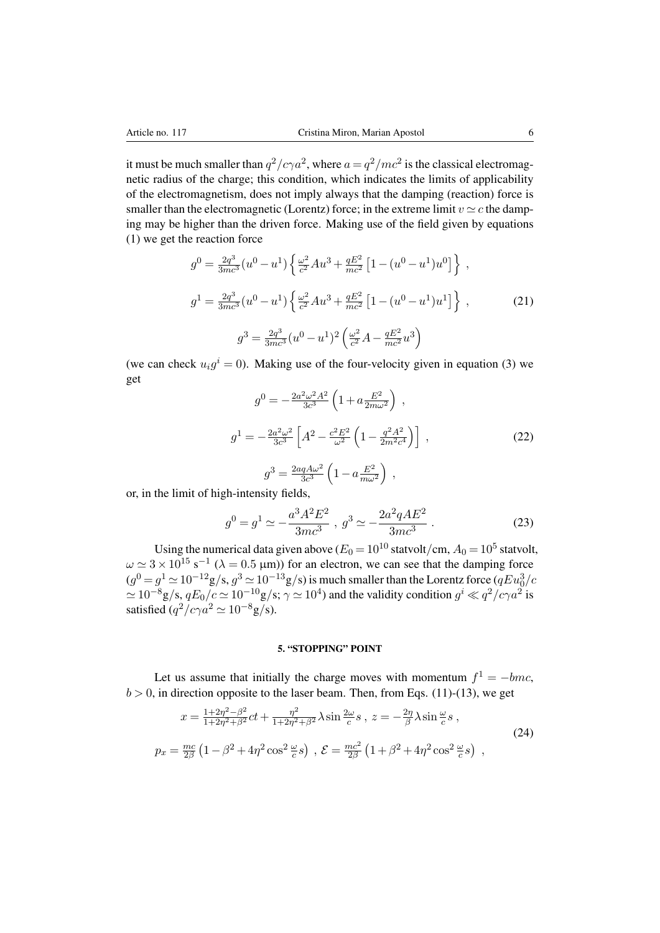it must be much smaller than  $q^2/c\gamma a^2$ , where  $a = q^2/mc^2$  is the classical electromagnetic radius of the charge; this condition, which indicates the limits of applicability of the electromagnetism, does not imply always that the damping (reaction) force is smaller than the electromagnetic (Lorentz) force; in the extreme limit  $v \simeq c$  the damping may be higher than the driven force. Making use of the field given by equations [\(1\)](#page-1-2) we get the reaction force

$$
g^{0} = \frac{2q^{3}}{3mc^{3}}(u^{0} - u^{1}) \left\{ \frac{\omega^{2}}{c^{2}}Au^{3} + \frac{qE^{2}}{mc^{2}} \left[1 - (u^{0} - u^{1})u^{0}\right]\right\},
$$
  
\n
$$
g^{1} = \frac{2q^{3}}{3mc^{3}}(u^{0} - u^{1}) \left\{ \frac{\omega^{2}}{c^{2}}Au^{3} + \frac{qE^{2}}{mc^{2}} \left[1 - (u^{0} - u^{1})u^{1}\right]\right\},
$$
\n
$$
g^{3} = \frac{2q^{3}}{3mc^{3}}(u^{0} - u^{1})^{2} \left(\frac{\omega^{2}}{c^{2}}A - \frac{qE^{2}}{mc^{2}}u^{3}\right)
$$
\n(21)

(we can check  $u_i g^i = 0$ ). Making use of the four-velocity given in equation [\(3\)](#page-1-0) we get

$$
g^{0} = -\frac{2a^{2}\omega^{2}A^{2}}{3c^{3}} \left(1 + a\frac{E^{2}}{2m\omega^{2}}\right) ,
$$
  
\n
$$
g^{1} = -\frac{2a^{2}\omega^{2}}{3c^{3}} \left[A^{2} - \frac{c^{2}E^{2}}{\omega^{2}} \left(1 - \frac{q^{2}A^{2}}{2m^{2}c^{4}}\right)\right] ,
$$
  
\n
$$
g^{3} = \frac{2aqA\omega^{2}}{3c^{3}} \left(1 - a\frac{E^{2}}{m\omega^{2}}\right) ,
$$
\n(22)

or, in the limit of high-intensity fields,

$$
g^{0} = g^{1} \simeq -\frac{a^{3}A^{2}E^{2}}{3mc^{3}} , g^{3} \simeq -\frac{2a^{2}qAE^{2}}{3mc^{3}} .
$$
 (23)

Using the numerical data given above ( $E_0 = 10^{10}$  statvolt/cm,  $A_0 = 10^5$  statvolt,  $\omega \simeq 3 \times 10^{15}$  s<sup>-1</sup> ( $\lambda = 0.5$  µm)) for an electron, we can see that the damping force  $(g^0 = g^1 \simeq 10^{-12} \text{g/s}, g^3 \simeq 10^{-13} \text{g/s})$  is much smaller than the Lorentz force  $(qEu_0^3/c)$  $\simeq 10^{-8}$ g/s,  $qE_0/c \simeq 10^{-10}$ g/s;  $\gamma \simeq 10^4$ ) and the validity condition  $g^i \ll q^2/c\gamma a^2$  is satisfied  $(q^2/c\gamma a^2 \simeq 10^{-8} \text{g/s}).$ 

# 5. "STOPPING" POINT

Let us assume that initially the charge moves with momentum  $f^1 = -bmc$ ,  $b > 0$ , in direction opposite to the laser beam. Then, from Eqs. [\(11\)](#page-2-1)-[\(13\)](#page-3-2), we get

$$
x = \frac{1+2\eta^2 - \beta^2}{1+2\eta^2 + \beta^2}ct + \frac{\eta^2}{1+2\eta^2 + \beta^2}\lambda \sin\frac{2\omega}{c}s \,, z = -\frac{2\eta}{\beta}\lambda \sin\frac{\omega}{c}s \,,
$$
  
\n
$$
p_x = \frac{mc}{2\beta} \left(1 - \beta^2 + 4\eta^2 \cos^2\frac{\omega}{c}s\right) \,, \, \mathcal{E} = \frac{mc^2}{2\beta} \left(1 + \beta^2 + 4\eta^2 \cos^2\frac{\omega}{c}s\right) \,,
$$
\n(24)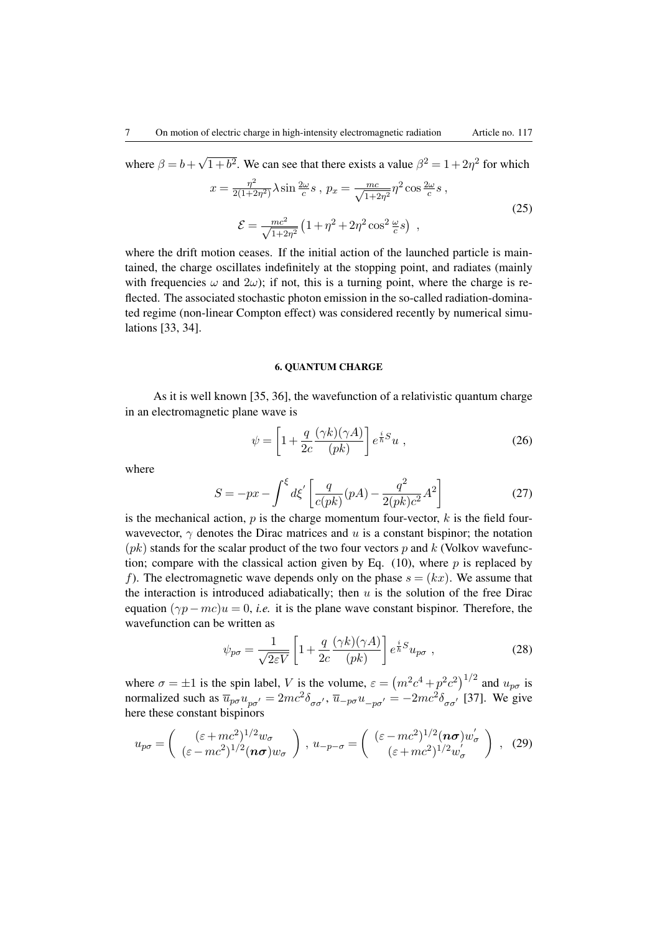where  $\beta = b +$ √  $\sqrt{1+b^2}$ . We can see that there exists a value  $\beta^2 = 1 + 2\eta^2$  for which

$$
x = \frac{\eta^2}{2(1+2\eta^2)} \lambda \sin \frac{2\omega}{c} s \, , \, p_x = \frac{mc}{\sqrt{1+2\eta^2}} \eta^2 \cos \frac{2\omega}{c} s \, ,
$$
  

$$
\mathcal{E} = \frac{mc^2}{\sqrt{1+2\eta^2}} \left(1 + \eta^2 + 2\eta^2 \cos^2 \frac{\omega}{c} s\right) \, ,
$$
 (25)

where the drift motion ceases. If the initial action of the launched particle is maintained, the charge oscillates indefinitely at the stopping point, and radiates (mainly with frequencies  $\omega$  and  $2\omega$ ); if not, this is a turning point, where the charge is reflected. The associated stochastic photon emission in the so-called radiation-dominated regime (non-linear Compton effect) was considered recently by numerical simulations [\[33,](#page-12-13) [34\]](#page-13-0).

#### <span id="page-6-1"></span>6. QUANTUM CHARGE

As it is well known [\[35,](#page-13-1) [36\]](#page-13-2), the wavefunction of a relativistic quantum charge in an electromagnetic plane wave is

$$
\psi = \left[1 + \frac{q}{2c} \frac{(\gamma k)(\gamma A)}{(pk)}\right] e^{\frac{i}{\hbar}S} u , \qquad (26)
$$

<span id="page-6-0"></span>where

$$
S = -px - \int^{\xi} d\xi' \left[ \frac{q}{c(pk)} (pA) - \frac{q^2}{2(pk)c^2} A^2 \right]
$$
 (27)

is the mechanical action,  $p$  is the charge momentum four-vector,  $k$  is the field fourwavevector,  $\gamma$  denotes the Dirac matrices and u is a constant bispinor; the notation  $(pk)$  stands for the scalar product of the two four vectors p and k (Volkov wavefunction; compare with the classical action given by Eq.  $(10)$ , where p is replaced by f). The electromagnetic wave depends only on the phase  $s = (kx)$ . We assume that the interaction is introduced adiabatically; then  $u$  is the solution of the free Dirac equation  $(\gamma p - mc)u = 0$ , *i.e.* it is the plane wave constant bispinor. Therefore, the wavefunction can be written as

$$
\psi_{p\sigma} = \frac{1}{\sqrt{2\varepsilon V}} \left[ 1 + \frac{q}{2c} \frac{(\gamma k)(\gamma A)}{(pk)} \right] e^{\frac{i}{\hbar}S} u_{p\sigma} ,\qquad (28)
$$

where  $\sigma = \pm 1$  is the spin label, V is the volume,  $\varepsilon = (m^2c^4 + p^2c^2)^{1/2}$  and  $u_{p\sigma}$  is normalized such as  $\overline{u}_{p\sigma}u_{p\sigma'} = 2mc^2\delta_{\sigma\sigma'}$ ,  $\overline{u}_{-p\sigma}u_{-p\sigma'} = -2mc^2\delta_{\sigma\sigma'}$  [\[37\]](#page-13-3). We give here these constant bispinors

$$
u_{p\sigma} = \begin{pmatrix} (\varepsilon + mc^2)^{1/2} w_{\sigma} \\ (\varepsilon - mc^2)^{1/2} (n\sigma) w_{\sigma} \end{pmatrix}, u_{-p-\sigma} = \begin{pmatrix} (\varepsilon - mc^2)^{1/2} (n\sigma) w_{\sigma}' \\ (\varepsilon + mc^2)^{1/2} w_{\sigma}' \end{pmatrix}, (29)
$$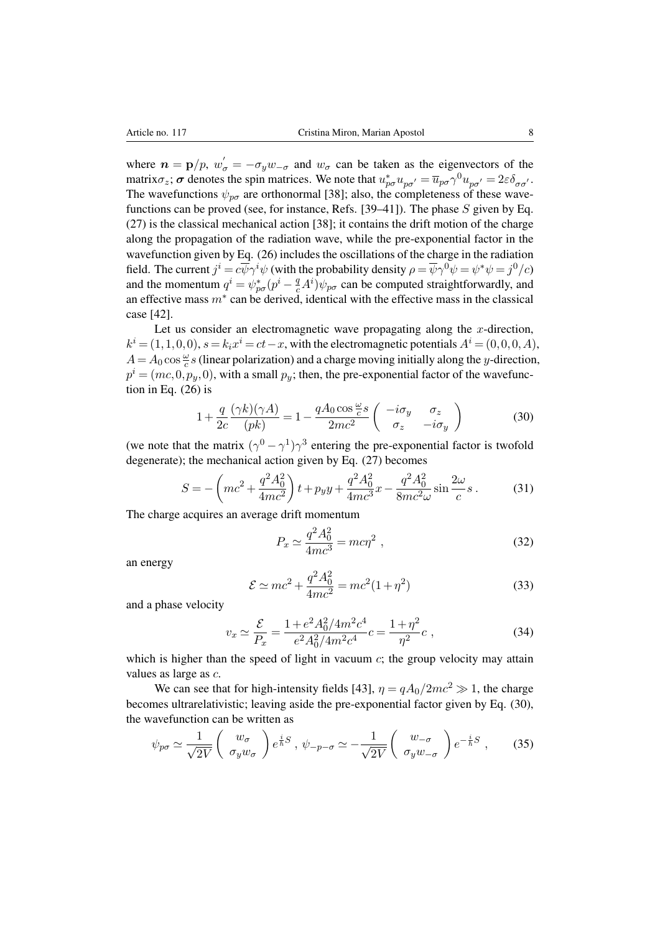where  $n = p/p$ ,  $w'_{\sigma} = -\sigma_y w_{-\sigma}$  and  $w_{\sigma}$  can be taken as the eigenvectors of the matrix $\sigma_z$ ;  $\sigma$  denotes the spin matrices. We note that  $u_{p\sigma}^* u_{p\sigma'} = \overline{u}_{p\sigma} \gamma^0 u_{p\sigma'} = 2\varepsilon \delta_{\sigma\sigma'}$ . The wavefunctions  $\psi_{p\sigma}$  are orthonormal [\[38\]](#page-13-4); also, the completeness of these wave-functions can be proved (see, for instance, Refs. [\[39–](#page-13-5)[41\]](#page-13-6)). The phase  $S$  given by Eq. [\(27\)](#page-6-0) is the classical mechanical action [\[38\]](#page-13-4); it contains the drift motion of the charge along the propagation of the radiation wave, while the pre-exponential factor in the wavefunction given by Eq. [\(26\)](#page-6-1) includes the oscillations of the charge in the radiation field. The current  $j^i = c\overline{\psi}\gamma^i\psi$  (with the probability density  $\rho = \overline{\psi}\gamma^0\psi = \psi^*\psi = j^0/c$ ) and the momentum  $q^i = \psi_{p\sigma}^*(p^i - \frac{q}{c}A^i)\psi_{p\sigma}$  can be computed straightforwardly, and an effective mass  $m^*$  can be derived, identical with the effective mass in the classical case [\[42\]](#page-13-7).

Let us consider an electromagnetic wave propagating along the x-direction,  $k^i = (1, 1, 0, 0), s = k_i x^i = ct - x$ , with the electromagnetic potentials  $A^i = (0, 0, 0, A)$ ,  $A = A_0 \cos \frac{\omega}{c} s$  (linear polarization) and a charge moving initially along the y-direction,  $p^i = (mc, 0, p_y, 0)$ , with a small  $p_y$ ; then, the pre-exponential factor of the wavefunction in Eq. [\(26\)](#page-6-1) is

<span id="page-7-0"></span>
$$
1 + \frac{q}{2c} \frac{(\gamma k)(\gamma A)}{(pk)} = 1 - \frac{qA_0 \cos \frac{\omega}{c} s}{2mc^2} \begin{pmatrix} -i\sigma_y & \sigma_z \\ \sigma_z & -i\sigma_y \end{pmatrix}
$$
 (30)

(we note that the matrix  $(\gamma^0 - \gamma^1)\gamma^3$  entering the pre-exponential factor is twofold degenerate); the mechanical action given by Eq. [\(27\)](#page-6-0) becomes

$$
S = -\left(mc^2 + \frac{q^2A_0^2}{4mc^2}\right)t + pyy + \frac{q^2A_0^2}{4mc^3}x - \frac{q^2A_0^2}{8mc^2\omega}\sin\frac{2\omega}{c}s.
$$
 (31)

The charge acquires an average drift momentum

$$
P_x \simeq \frac{q^2 A_0^2}{4mc^3} = mc\eta^2 \;, \tag{32}
$$

an energy

$$
\mathcal{E} \simeq mc^2 + \frac{q^2 A_0^2}{4mc^2} = mc^2 (1 + \eta^2)
$$
\n(33)

and a phase velocity

$$
v_x \simeq \frac{\mathcal{E}}{P_x} = \frac{1 + e^2 A_0^2 / 4m^2 c^4}{e^2 A_0^2 / 4m^2 c^4} c = \frac{1 + \eta^2}{\eta^2} c \;, \tag{34}
$$

which is higher than the speed of light in vacuum  $c$ ; the group velocity may attain values as large as c.

We can see that for high-intensity fields [\[43\]](#page-13-8),  $\eta = qA_0/2mc^2 \gg 1$ , the charge becomes ultrarelativistic; leaving aside the pre-exponential factor given by Eq. [\(30\)](#page-7-0), the wavefunction can be written as

$$
\psi_{p\sigma} \simeq \frac{1}{\sqrt{2V}} \begin{pmatrix} w_{\sigma} \\ \sigma_y w_{\sigma} \end{pmatrix} e^{\frac{i}{\hbar}S} \,, \, \psi_{-p-\sigma} \simeq -\frac{1}{\sqrt{2V}} \begin{pmatrix} w_{-\sigma} \\ \sigma_y w_{-\sigma} \end{pmatrix} e^{-\frac{i}{\hbar}S} \,, \tag{35}
$$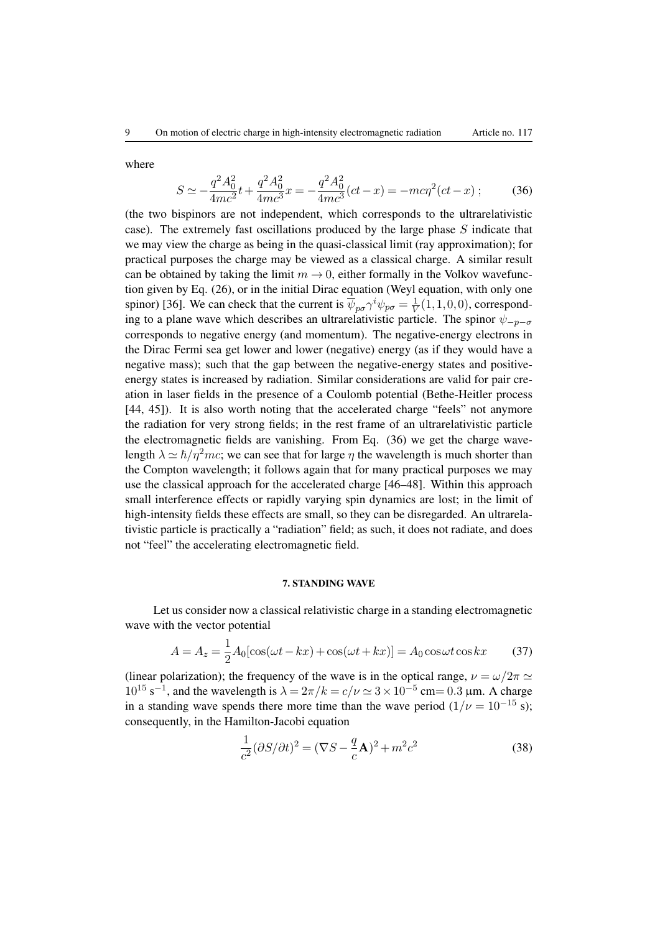where

<span id="page-8-0"></span>
$$
S \simeq -\frac{q^2 A_0^2}{4mc^2} t + \frac{q^2 A_0^2}{4mc^3} x = -\frac{q^2 A_0^2}{4mc^3} (ct - x) = -mc\eta^2 (ct - x) ; \qquad (36)
$$

(the two bispinors are not independent, which corresponds to the ultrarelativistic case). The extremely fast oscillations produced by the large phase  $S$  indicate that we may view the charge as being in the quasi-classical limit (ray approximation); for practical purposes the charge may be viewed as a classical charge. A similar result can be obtained by taking the limit  $m \to 0$ , either formally in the Volkov wavefunction given by Eq. [\(26\)](#page-6-1), or in the initial Dirac equation (Weyl equation, with only one spinor) [\[36\]](#page-13-2). We can check that the current is  $\overline{\psi}_{p\sigma} \gamma^i \psi_{p\sigma} = \frac{1}{V}$  $\frac{1}{V}(1,1,0,0)$ , corresponding to a plane wave which describes an ultrarelativistic particle. The spinor  $\psi_{-p-\sigma}$ corresponds to negative energy (and momentum). The negative-energy electrons in the Dirac Fermi sea get lower and lower (negative) energy (as if they would have a negative mass); such that the gap between the negative-energy states and positiveenergy states is increased by radiation. Similar considerations are valid for pair creation in laser fields in the presence of a Coulomb potential (Bethe-Heitler process [\[44,](#page-13-9) [45\]](#page-13-10)). It is also worth noting that the accelerated charge "feels" not anymore the radiation for very strong fields; in the rest frame of an ultrarelativistic particle the electromagnetic fields are vanishing. From Eq. [\(36\)](#page-8-0) we get the charge wavelength  $\lambda \simeq \hbar / \eta^2 mc$ ; we can see that for large  $\eta$  the wavelength is much shorter than the Compton wavelength; it follows again that for many practical purposes we may use the classical approach for the accelerated charge [\[46–](#page-13-11)[48\]](#page-13-12). Within this approach small interference effects or rapidly varying spin dynamics are lost; in the limit of high-intensity fields these effects are small, so they can be disregarded. An ultrarelativistic particle is practically a "radiation" field; as such, it does not radiate, and does not "feel" the accelerating electromagnetic field.

### 7. STANDING WAVE

Let us consider now a classical relativistic charge in a standing electromagnetic wave with the vector potential

$$
A = A_z = \frac{1}{2}A_0[\cos(\omega t - kx) + \cos(\omega t + kx)] = A_0 \cos \omega t \cos kx \tag{37}
$$

(linear polarization); the frequency of the wave is in the optical range,  $\nu = \omega/2\pi \simeq$  $10^{15}$  s<sup>-1</sup>, and the wavelength is  $\lambda = 2\pi/k = c/\nu \approx 3 \times 10^{-5}$  cm= 0.3 µm. A charge in a standing wave spends there more time than the wave period  $(1/\nu = 10^{-15} s)$ ; consequently, in the Hamilton-Jacobi equation

<span id="page-8-1"></span>
$$
\frac{1}{c^2}(\partial S/\partial t)^2 = (\nabla S - \frac{q}{c}\mathbf{A})^2 + m^2c^2\tag{38}
$$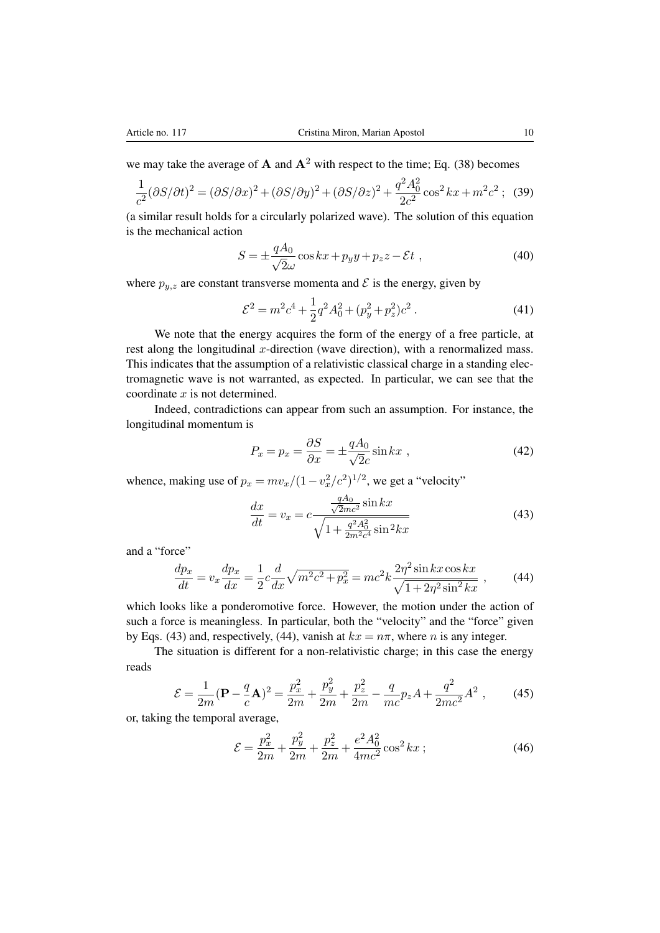we may take the average of **A** and  $A^2$  with respect to the time; Eq. [\(38\)](#page-8-1) becomes

$$
\frac{1}{c^2}(\partial S/\partial t)^2 = (\partial S/\partial x)^2 + (\partial S/\partial y)^2 + (\partial S/\partial z)^2 + \frac{q^2 A_0^2}{2c^2} \cos^2 kx + m^2 c^2; \tag{39}
$$

(a similar result holds for a circularly polarized wave). The solution of this equation is the mechanical action

$$
S = \pm \frac{qA_0}{\sqrt{2}\omega} \cos kx + p_y y + p_z z - \mathcal{E}t , \qquad (40)
$$

where  $p_{y,z}$  are constant transverse momenta and  $\mathcal E$  is the energy, given by

$$
\mathcal{E}^2 = m^2 c^4 + \frac{1}{2} q^2 A_0^2 + (p_y^2 + p_z^2) c^2 \,. \tag{41}
$$

We note that the energy acquires the form of the energy of a free particle, at rest along the longitudinal  $x$ -direction (wave direction), with a renormalized mass. This indicates that the assumption of a relativistic classical charge in a standing electromagnetic wave is not warranted, as expected. In particular, we can see that the coordinate  $x$  is not determined.

Indeed, contradictions can appear from such an assumption. For instance, the longitudinal momentum is

<span id="page-9-0"></span>
$$
P_x = p_x = \frac{\partial S}{\partial x} = \pm \frac{qA_0}{\sqrt{2}c} \sin kx \tag{42}
$$

whence, making use of  $p_x = mv_x/(1 - v_x^2/c^2)^{1/2}$ , we get a "velocity"

$$
\frac{dx}{dt} = v_x = c \frac{\frac{qA_0}{\sqrt{2mc^2}} \sin kx}{\sqrt{1 + \frac{q^2 A_0^2}{2m^2 c^4} \sin^2 kx}}
$$
(43)

and a "force"

<span id="page-9-1"></span>
$$
\frac{dp_x}{dt} = v_x \frac{dp_x}{dx} = \frac{1}{2} c \frac{d}{dx} \sqrt{m^2 c^2 + p_x^2} = mc^2 k \frac{2\eta^2 \sin kx \cos kx}{\sqrt{1 + 2\eta^2 \sin^2 kx}} ,\qquad (44)
$$

which looks like a ponderomotive force. However, the motion under the action of such a force is meaningless. In particular, both the "velocity" and the "force" given by Eqs. [\(43\)](#page-9-0) and, respectively, [\(44\)](#page-9-1), vanish at  $kx = n\pi$ , where *n* is any integer.

The situation is different for a non-relativistic charge; in this case the energy reads

$$
\mathcal{E} = \frac{1}{2m} (\mathbf{P} - \frac{q}{c} \mathbf{A})^2 = \frac{p_x^2}{2m} + \frac{p_y^2}{2m} + \frac{p_z^2}{2m} - \frac{q}{mc} p_z A + \frac{q^2}{2mc^2} A^2 ,\qquad (45)
$$

or, taking the temporal average,

<span id="page-9-2"></span>
$$
\mathcal{E} = \frac{p_x^2}{2m} + \frac{p_y^2}{2m} + \frac{p_z^2}{2m} + \frac{e^2 A_0^2}{4mc^2} \cos^2 kx ; \qquad (46)
$$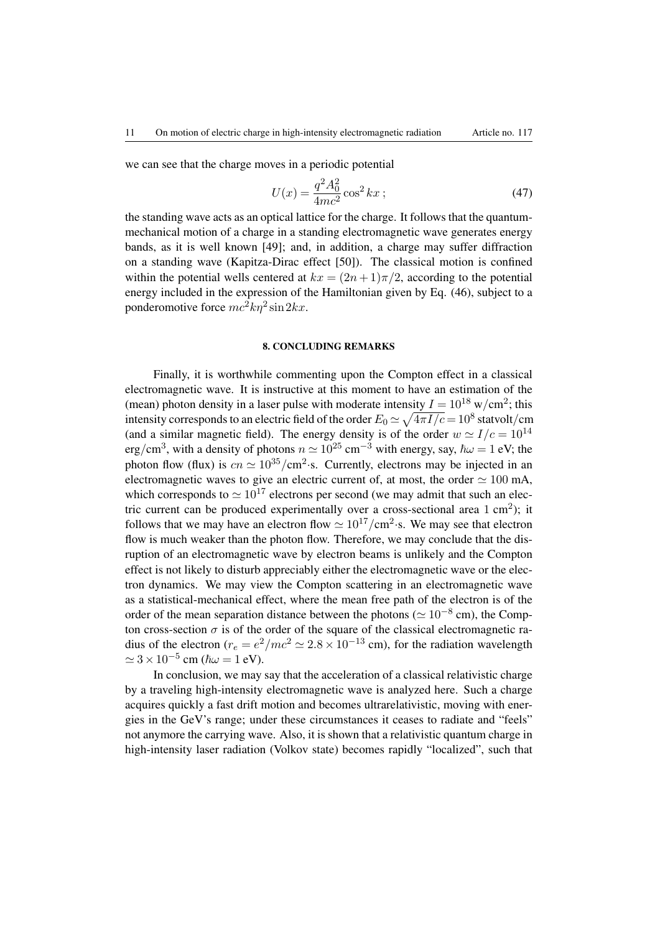we can see that the charge moves in a periodic potential

$$
U(x) = \frac{q^2 A_0^2}{4mc^2} \cos^2 kx ; \qquad (47)
$$

the standing wave acts as an optical lattice for the charge. It follows that the quantummechanical motion of a charge in a standing electromagnetic wave generates energy bands, as it is well known [\[49\]](#page-13-13); and, in addition, a charge may suffer diffraction on a standing wave (Kapitza-Dirac effect [\[50\]](#page-13-14)). The classical motion is confined within the potential wells centered at  $kx = (2n+1)\pi/2$ , according to the potential energy included in the expression of the Hamiltonian given by Eq. [\(46\)](#page-9-2), subject to a ponderomotive force  $mc^2k\eta^2\sin 2kx$ .

### 8. CONCLUDING REMARKS

Finally, it is worthwhile commenting upon the Compton effect in a classical electromagnetic wave. It is instructive at this moment to have an estimation of the (mean) photon density in a laser pulse with moderate intensity  $I = 10^{18}$  w/cm<sup>2</sup>; this intensity corresponds to an electric field of the order  $E_0$   $\simeq$   $\sqrt{4\pi I/c}$   $=$   $10^8$  statvolt/cm (and a similar magnetic field). The energy density is of the order  $w \simeq I/c = 10^{14}$ erg/cm<sup>3</sup>, with a density of photons  $n \approx 10^{25}$  cm<sup>-3</sup> with energy, say,  $\hbar \omega = 1$  eV; the photon flow (flux) is  $cn \simeq 10^{35}/\text{cm}^2$ ·s. Currently, electrons may be injected in an electromagnetic waves to give an electric current of, at most, the order  $\simeq 100$  mA, which corresponds to  $\simeq 10^{17}$  electrons per second (we may admit that such an electric current can be produced experimentally over a cross-sectional area  $1 \text{ cm}^2$ ); it follows that we may have an electron flow  $\simeq 10^{17}/\text{cm}^2$ . S. We may see that electron flow is much weaker than the photon flow. Therefore, we may conclude that the disruption of an electromagnetic wave by electron beams is unlikely and the Compton effect is not likely to disturb appreciably either the electromagnetic wave or the electron dynamics. We may view the Compton scattering in an electromagnetic wave as a statistical-mechanical effect, where the mean free path of the electron is of the order of the mean separation distance between the photons ( $\simeq 10^{-8}$  cm), the Compton cross-section  $\sigma$  is of the order of the square of the classical electromagnetic radius of the electron ( $r_e = e^2/mc^2 \approx 2.8 \times 10^{-13}$  cm), for the radiation wavelength  $\simeq 3 \times 10^{-5}$  cm ( $\hbar \omega = 1$  eV).

In conclusion, we may say that the acceleration of a classical relativistic charge by a traveling high-intensity electromagnetic wave is analyzed here. Such a charge acquires quickly a fast drift motion and becomes ultrarelativistic, moving with energies in the GeV's range; under these circumstances it ceases to radiate and "feels" not anymore the carrying wave. Also, it is shown that a relativistic quantum charge in high-intensity laser radiation (Volkov state) becomes rapidly "localized", such that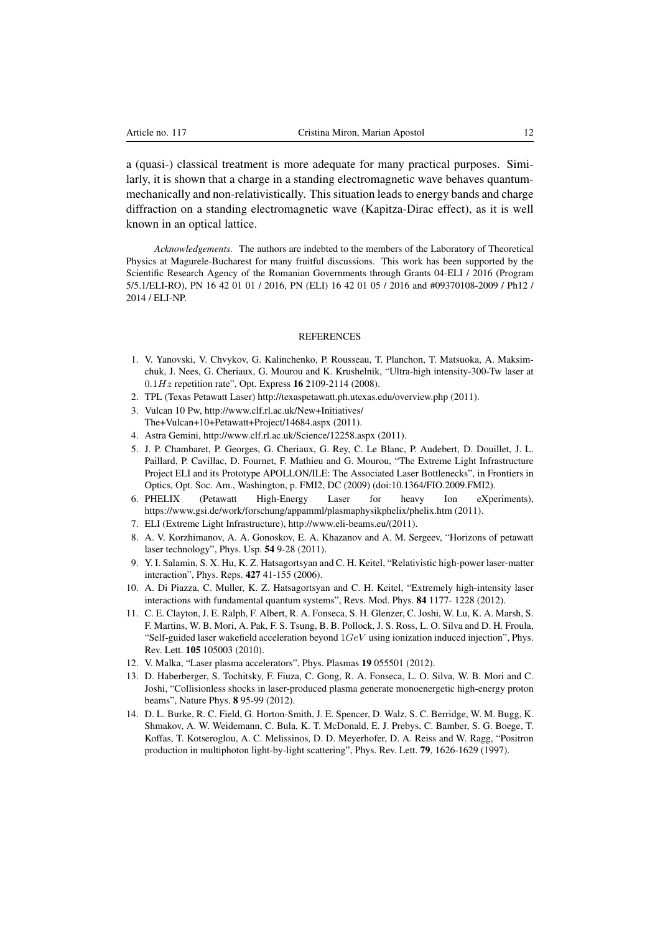a (quasi-) classical treatment is more adequate for many practical purposes. Similarly, it is shown that a charge in a standing electromagnetic wave behaves quantummechanically and non-relativistically. This situation leads to energy bands and charge diffraction on a standing electromagnetic wave (Kapitza-Dirac effect), as it is well known in an optical lattice.

*Acknowledgements.* The authors are indebted to the members of the Laboratory of Theoretical Physics at Magurele-Bucharest for many fruitful discussions. This work has been supported by the Scientific Research Agency of the Romanian Governments through Grants 04-ELI / 2016 (Program 5/5.1/ELI-RO), PN 16 42 01 01 / 2016, PN (ELI) 16 42 01 05 / 2016 and #09370108-2009 / Ph12 / 2014 / ELI-NP.

#### **REFERENCES**

- <span id="page-11-0"></span>1. V. Yanovski, V. Chvykov, G. Kalinchenko, P. Rousseau, T. Planchon, T. Matsuoka, A. Maksimchuk, J. Nees, G. Cheriaux, G. Mourou and K. Krushelnik, "Ultra-high intensity-300-Tw laser at  $0.1Hz$  repetition rate", Opt. Express 16 2109-2114 (2008).
- 2. TPL (Texas Petawatt Laser) http://texaspetawatt.ph.utexas.edu/overview.php (2011).
- 3. Vulcan 10 Pw, http://www.clf.rl.ac.uk/New+Initiatives/ The+Vulcan+10+Petawatt+Project/14684.aspx (2011).
- 4. Astra Gemini, http://www.clf.rl.ac.uk/Science/12258.aspx (2011).
- 5. J. P. Chambaret, P. Georges, G. Cheriaux, G. Rey, C. Le Blanc, P. Audebert, D. Douillet, J. L. Paillard, P. Cavillac, D. Fournet, F. Mathieu and G. Mourou, "The Extreme Light Infrastructure Project ELI and its Prototype APOLLON/ILE: The Associated Laser Bottlenecks", in Frontiers in Optics, Opt. Soc. Am., Washington, p. FMI2, DC (2009) (doi:10.1364/FIO.2009.FMI2).
- 6. PHELIX (Petawatt High-Energy Laser for heavy Ion eXperiments), https://www.gsi.de/work/forschung/appamml/plasmaphysikphelix/phelix.htm (2011).
- 7. ELI (Extreme Light Infrastructure), http://www.eli-beams.eu/(2011).
- <span id="page-11-1"></span>8. A. V. Korzhimanov, A. A. Gonoskov, E. A. Khazanov and A. M. Sergeev, "Horizons of petawatt laser technology", Phys. Usp. 54 9-28 (2011).
- <span id="page-11-2"></span>9. Y. I. Salamin, S. X. Hu, K. Z. Hatsagortsyan and C. H. Keitel, "Relativistic high-power laser-matter interaction", Phys. Reps. 427 41-155 (2006).
- <span id="page-11-3"></span>10. A. Di Piazza, C. Muller, K. Z. Hatsagortsyan and C. H. Keitel, "Extremely high-intensity laser interactions with fundamental quantum systems", Revs. Mod. Phys. 84 1177- 1228 (2012).
- <span id="page-11-4"></span>11. C. E. Clayton, J. E. Ralph, F. Albert, R. A. Fonseca, S. H. Glenzer, C. Joshi, W. Lu, K. A. Marsh, S. F. Martins, W. B. Mori, A. Pak, F. S. Tsung, B. B. Pollock, J. S. Ross, L. O. Silva and D. H. Froula, "Self-guided laser wakefield acceleration beyond  $1GeV$  using ionization induced injection", Phys. Rev. Lett. 105 105003 (2010).
- 12. V. Malka, "Laser plasma accelerators", Phys. Plasmas 19 055501 (2012).
- <span id="page-11-5"></span>13. D. Haberberger, S. Tochitsky, F. Fiuza, C. Gong, R. A. Fonseca, L. O. Silva, W. B. Mori and C. Joshi, "Collisionless shocks in laser-produced plasma generate monoenergetic high-energy proton beams", Nature Phys. 8 95-99 (2012).
- <span id="page-11-6"></span>14. D. L. Burke, R. C. Field, G. Horton-Smith, J. E. Spencer, D. Walz, S. C. Berridge, W. M. Bugg, K. Shmakov, A. W. Weidemann, C. Bula, K. T. McDonald, E. J. Prebys, C. Bamber, S. G. Boege, T. Koffas, T. Kotseroglou, A. C. Melissinos, D. D. Meyerhofer, D. A. Reiss and W. Ragg, "Positron production in multiphoton light-by-light scattering", Phys. Rev. Lett. 79, 1626-1629 (1997).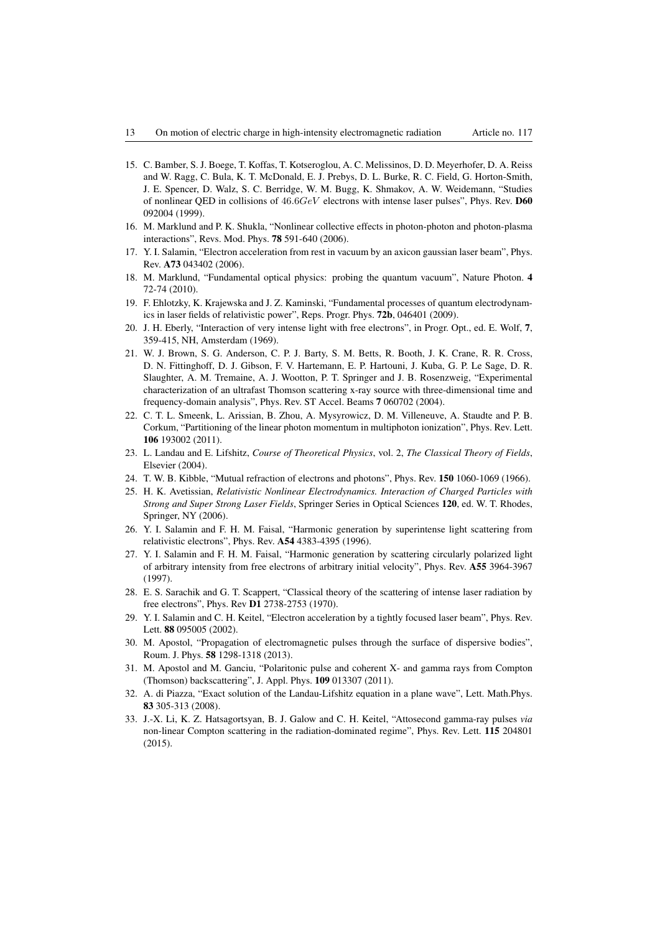- 15. C. Bamber, S. J. Boege, T. Koffas, T. Kotseroglou, A. C. Melissinos, D. D. Meyerhofer, D. A. Reiss and W. Ragg, C. Bula, K. T. McDonald, E. J. Prebys, D. L. Burke, R. C. Field, G. Horton-Smith, J. E. Spencer, D. Walz, S. C. Berridge, W. M. Bugg, K. Shmakov, A. W. Weidemann, "Studies of nonlinear QED in collisions of  $46.6GeV$  electrons with intense laser pulses", Phys. Rev. D60 092004 (1999).
- 16. M. Marklund and P. K. Shukla, "Nonlinear collective effects in photon-photon and photon-plasma interactions", Revs. Mod. Phys. 78 591-640 (2006).
- 17. Y. I. Salamin, "Electron acceleration from rest in vacuum by an axicon gaussian laser beam", Phys. Rev. A73 043402 (2006).
- <span id="page-12-0"></span>18. M. Marklund, "Fundamental optical physics: probing the quantum vacuum", Nature Photon. 4 72-74 (2010).
- <span id="page-12-1"></span>19. F. Ehlotzky, K. Krajewska and J. Z. Kaminski, "Fundamental processes of quantum electrodynamics in laser fields of relativistic power", Reps. Progr. Phys. 72b, 046401 (2009).
- 20. J. H. Eberly, "Interaction of very intense light with free electrons", in Progr. Opt., ed. E. Wolf, 7, 359-415, NH, Amsterdam (1969).
- 21. W. J. Brown, S. G. Anderson, C. P. J. Barty, S. M. Betts, R. Booth, J. K. Crane, R. R. Cross, D. N. Fittinghoff, D. J. Gibson, F. V. Hartemann, E. P. Hartouni, J. Kuba, G. P. Le Sage, D. R. Slaughter, A. M. Tremaine, A. J. Wootton, P. T. Springer and J. B. Rosenzweig, "Experimental characterization of an ultrafast Thomson scattering x-ray source with three-dimensional time and frequency-domain analysis", Phys. Rev. ST Accel. Beams 7 060702 (2004).
- <span id="page-12-2"></span>22. C. T. L. Smeenk, L. Arissian, B. Zhou, A. Mysyrowicz, D. M. Villeneuve, A. Staudte and P. B. Corkum, "Partitioning of the linear photon momentum in multiphoton ionization", Phys. Rev. Lett. 106 193002 (2011).
- <span id="page-12-3"></span>23. L. Landau and E. Lifshitz, *Course of Theoretical Physics*, vol. 2, *The Classical Theory of Fields*, Elsevier (2004).
- <span id="page-12-4"></span>24. T. W. B. Kibble, "Mutual refraction of electrons and photons", Phys. Rev. 150 1060-1069 (1966).
- <span id="page-12-5"></span>25. H. K. Avetissian, *Relativistic Nonlinear Electrodynamics. Interaction of Charged Particles with Strong and Super Strong Laser Fields*, Springer Series in Optical Sciences 120, ed. W. T. Rhodes, Springer, NY (2006).
- <span id="page-12-6"></span>26. Y. I. Salamin and F. H. M. Faisal, "Harmonic generation by superintense light scattering from relativistic electrons", Phys. Rev. A54 4383-4395 (1996).
- <span id="page-12-7"></span>27. Y. I. Salamin and F. H. M. Faisal, "Harmonic generation by scattering circularly polarized light of arbitrary intensity from free electrons of arbitrary initial velocity", Phys. Rev. A55 3964-3967 (1997).
- <span id="page-12-8"></span>28. E. S. Sarachik and G. T. Scappert, "Classical theory of the scattering of intense laser radiation by free electrons", Phys. Rev D1 2738-2753 (1970).
- <span id="page-12-9"></span>29. Y. I. Salamin and C. H. Keitel, "Electron acceleration by a tightly focused laser beam", Phys. Rev. Lett. 88 095005 (2002).
- <span id="page-12-10"></span>30. M. Apostol, "Propagation of electromagnetic pulses through the surface of dispersive bodies", Roum. J. Phys. 58 1298-1318 (2013).
- <span id="page-12-11"></span>31. M. Apostol and M. Ganciu, "Polaritonic pulse and coherent X- and gamma rays from Compton (Thomson) backscattering", J. Appl. Phys. 109 013307 (2011).
- <span id="page-12-12"></span>32. A. di Piazza, "Exact solution of the Landau-Lifshitz equation in a plane wave", Lett. Math.Phys. 83 305-313 (2008).
- <span id="page-12-13"></span>33. J.-X. Li, K. Z. Hatsagortsyan, B. J. Galow and C. H. Keitel, "Attosecond gamma-ray pulses *via* non-linear Compton scattering in the radiation-dominated regime", Phys. Rev. Lett. 115 204801 (2015).